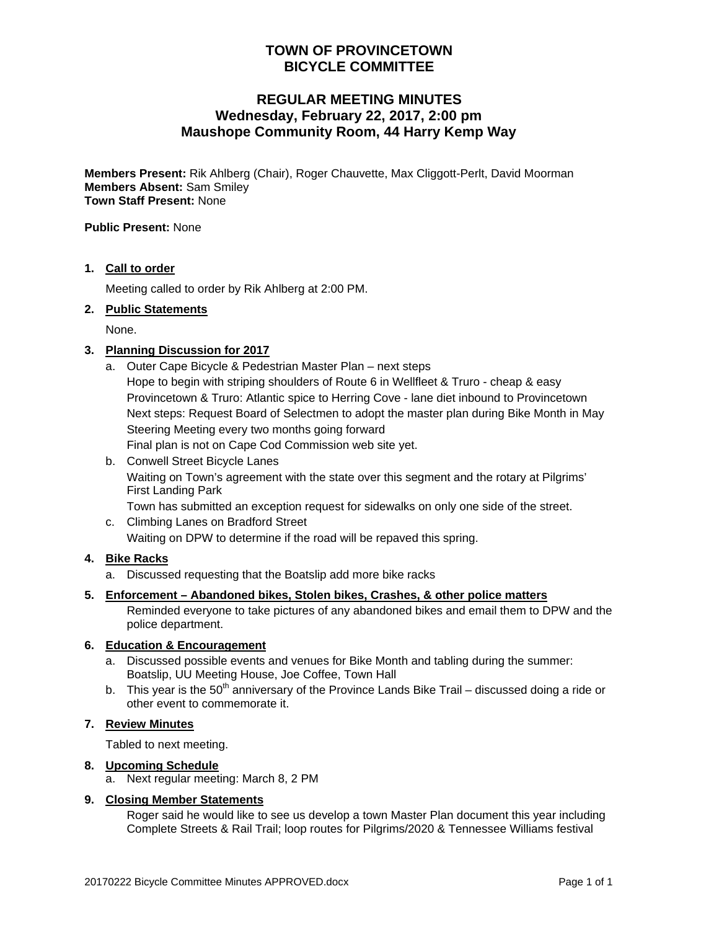# **TOWN OF PROVINCETOWN BICYCLE COMMITTEE**

# **REGULAR MEETING MINUTES Wednesday, February 22, 2017, 2:00 pm Maushope Community Room, 44 Harry Kemp Way**

**Members Present:** Rik Ahlberg (Chair), Roger Chauvette, Max Cliggott-Perlt, David Moorman **Members Absent:** Sam Smiley **Town Staff Present:** None

**Public Present:** None

### **1. Call to order**

Meeting called to order by Rik Ahlberg at 2:00 PM.

### **2. Public Statements**

None.

### **3. Planning Discussion for 2017**

a. Outer Cape Bicycle & Pedestrian Master Plan – next steps Hope to begin with striping shoulders of Route 6 in Wellfleet & Truro - cheap & easy Provincetown & Truro: Atlantic spice to Herring Cove - lane diet inbound to Provincetown Next steps: Request Board of Selectmen to adopt the master plan during Bike Month in May Steering Meeting every two months going forward

Final plan is not on Cape Cod Commission web site yet.

- b. Conwell Street Bicycle Lanes Waiting on Town's agreement with the state over this segment and the rotary at Pilgrims' First Landing Park Town has submitted an exception request for sidewalks on only one side of the street.
- c. Climbing Lanes on Bradford Street Waiting on DPW to determine if the road will be repaved this spring.

## **4. Bike Racks**

a. Discussed requesting that the Boatslip add more bike racks

#### **5. Enforcement – Abandoned bikes, Stolen bikes, Crashes, & other police matters**

Reminded everyone to take pictures of any abandoned bikes and email them to DPW and the police department.

#### **6. Education & Encouragement**

- a. Discussed possible events and venues for Bike Month and tabling during the summer: Boatslip, UU Meeting House, Joe Coffee, Town Hall
- b. This year is the 50<sup>th</sup> anniversary of the Province Lands Bike Trail discussed doing a ride or other event to commemorate it.

## **7. Review Minutes**

Tabled to next meeting.

#### **8. Upcoming Schedule**

a. Next regular meeting: March 8, 2 PM

## **9. Closing Member Statements**

Roger said he would like to see us develop a town Master Plan document this year including Complete Streets & Rail Trail; loop routes for Pilgrims/2020 & Tennessee Williams festival